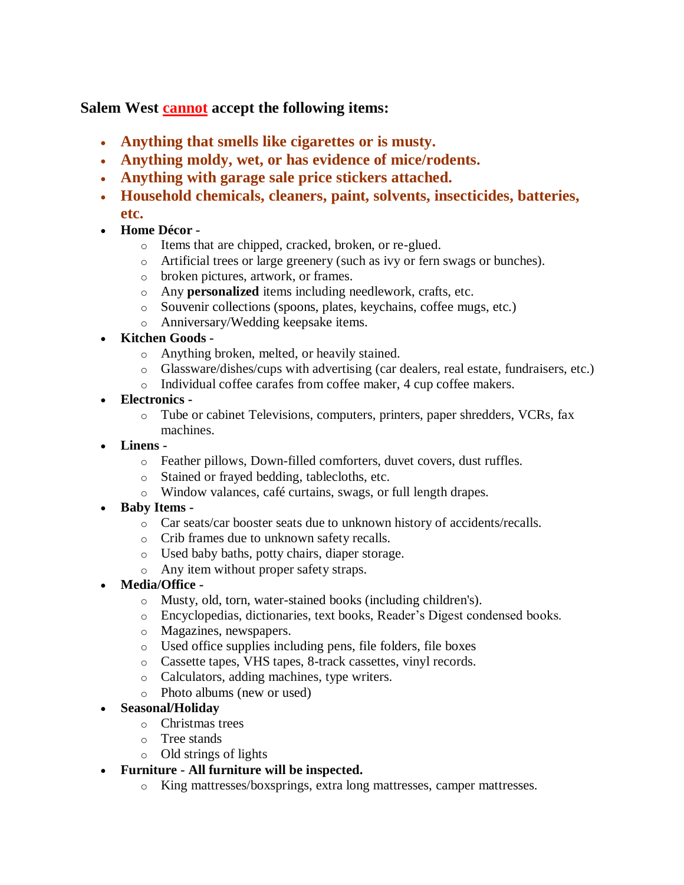**Salem West cannot accept the following items:**

- **Anything that smells like cigarettes or is musty.**
- **Anything moldy, wet, or has evidence of mice/rodents.**
- **Anything with garage sale price stickers attached.**
- **Household chemicals, cleaners, paint, solvents, insecticides, batteries, etc.**
- **Home Décor** 
	- o Items that are chipped, cracked, broken, or re-glued.
	- o Artificial trees or large greenery (such as ivy or fern swags or bunches).
	- o broken pictures, artwork, or frames.
	- o Any **personalized** items including needlework, crafts, etc.
	- o Souvenir collections (spoons, plates, keychains, coffee mugs, etc.)
	- o Anniversary/Wedding keepsake items.
- **Kitchen Goods** 
	- o Anything broken, melted, or heavily stained.
	- o Glassware/dishes/cups with advertising (car dealers, real estate, fundraisers, etc.)
	- o Individual coffee carafes from coffee maker, 4 cup coffee makers.
- **Electronics** 
	- o Tube or cabinet Televisions, computers, printers, paper shredders, VCRs, fax machines.
- **Linens** 
	- o Feather pillows, Down-filled comforters, duvet covers, dust ruffles.
	- o Stained or frayed bedding, tablecloths, etc.
	- o Window valances, café curtains, swags, or full length drapes.
- **Baby Items** 
	- o Car seats/car booster seats due to unknown history of accidents/recalls.
	- o Crib frames due to unknown safety recalls.
	- o Used baby baths, potty chairs, diaper storage.
	- o Any item without proper safety straps.
- **Media/Office** 
	- o Musty, old, torn, water-stained books (including children's).
	- o Encyclopedias, dictionaries, text books, Reader's Digest condensed books.
	- o Magazines, newspapers.
	- o Used office supplies including pens, file folders, file boxes
	- o Cassette tapes, VHS tapes, 8-track cassettes, vinyl records.
	- o Calculators, adding machines, type writers.
	- o Photo albums (new or used)
- **Seasonal/Holiday**
	- o Christmas trees
	- o Tree stands
	- o Old strings of lights

## **Furniture - All furniture will be inspected.**

o King mattresses/boxsprings, extra long mattresses, camper mattresses.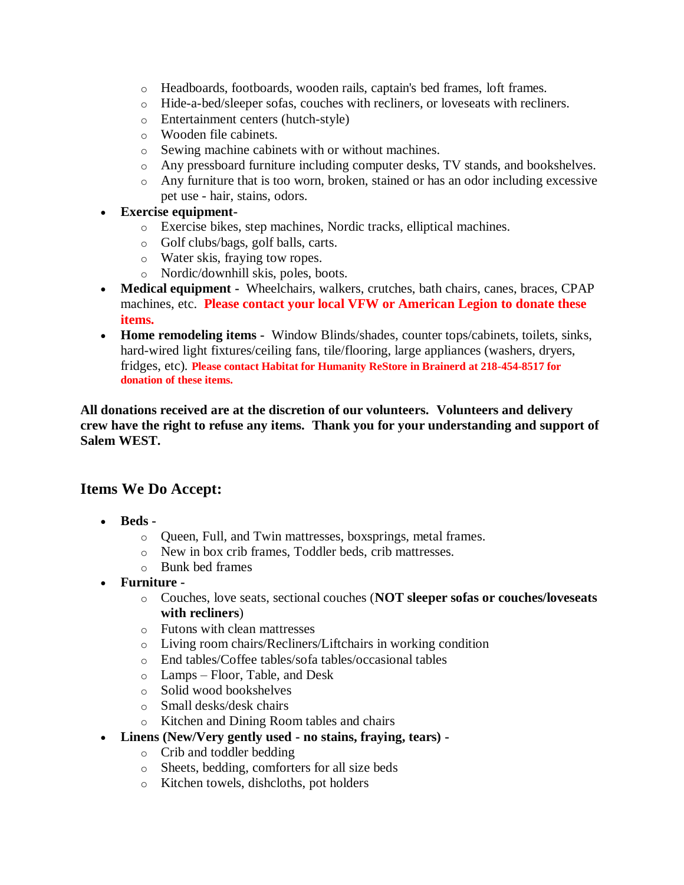- o Headboards, footboards, wooden rails, captain's bed frames, loft frames.
- o Hide-a-bed/sleeper sofas, couches with recliners, or loveseats with recliners.
- o Entertainment centers (hutch-style)
- o Wooden file cabinets.
- o Sewing machine cabinets with or without machines.
- o Any pressboard furniture including computer desks, TV stands, and bookshelves.
- o Any furniture that is too worn, broken, stained or has an odor including excessive pet use - hair, stains, odors.
- **Exercise equipment**
	- o Exercise bikes, step machines, Nordic tracks, elliptical machines.
	- o Golf clubs/bags, golf balls, carts.
	- o Water skis, fraying tow ropes.
	- o Nordic/downhill skis, poles, boots.
- **Medical equipment -** Wheelchairs, walkers, crutches, bath chairs, canes, braces, CPAP machines, etc. **Please contact your local VFW or American Legion to donate these items.**
- **Home remodeling items -** Window Blinds/shades, counter tops/cabinets, toilets, sinks, hard-wired light fixtures/ceiling fans, tile/flooring, large appliances (washers, dryers, fridges, etc)*.* **Please contact Habitat for Humanity ReStore in Brainerd at 218-454-8517 for donation of these items.**

## **All donations received are at the discretion of our volunteers. Volunteers and delivery crew have the right to refuse any items. Thank you for your understanding and support of Salem WEST.**

## **Items We Do Accept:**

- **Beds** 
	- o Queen, Full, and Twin mattresses, boxsprings, metal frames.
	- o New in box crib frames, Toddler beds, crib mattresses.
	- o Bunk bed frames
- **Furniture** 
	- o Couches, love seats, sectional couches (**NOT sleeper sofas or couches/loveseats with recliners**)
	- o Futons with clean mattresses
	- o Living room chairs/Recliners/Liftchairs in working condition
	- o End tables/Coffee tables/sofa tables/occasional tables
	- o Lamps Floor, Table, and Desk
	- o Solid wood bookshelves
	- o Small desks/desk chairs
	- o Kitchen and Dining Room tables and chairs
- **Linens (New/Very gently used - no stains, fraying, tears)** 
	- o Crib and toddler bedding
	- o Sheets, bedding, comforters for all size beds
	- o Kitchen towels, dishcloths, pot holders